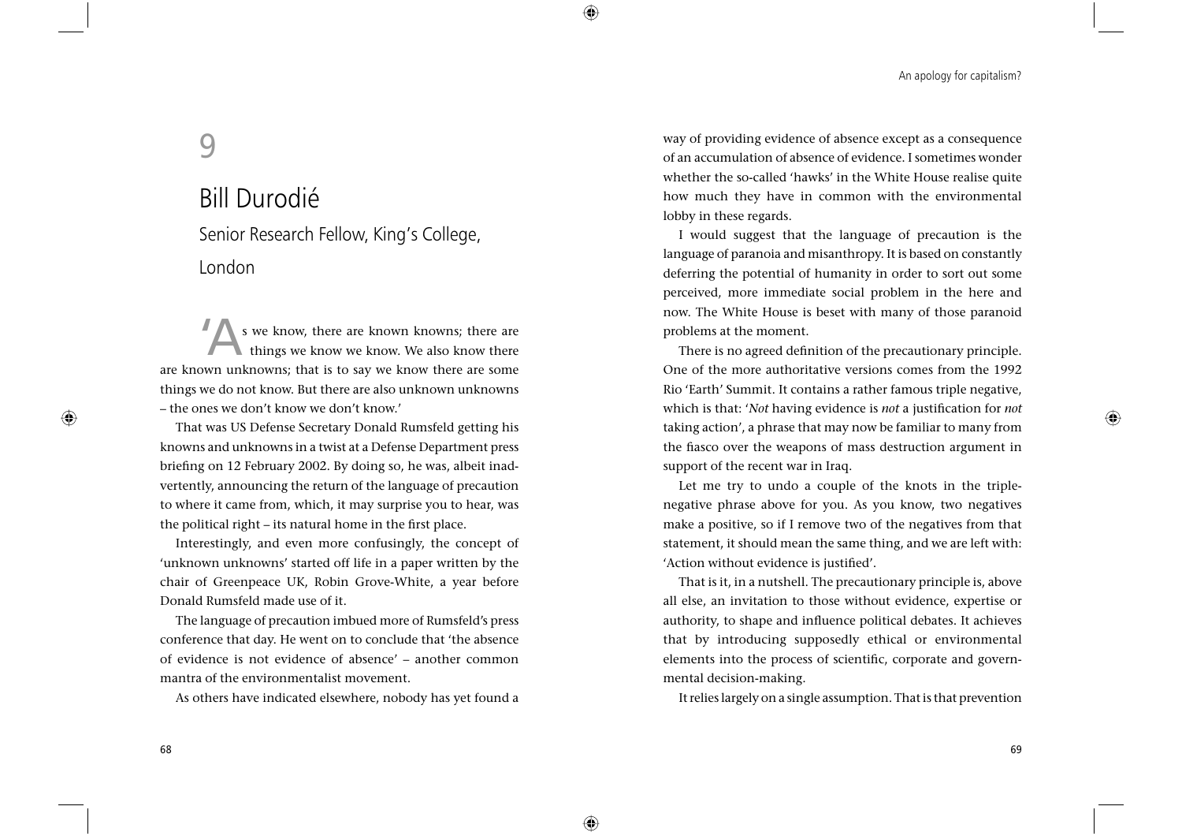An apology for capitalism?

# 9

## Bill Durodié

Senior Research Fellow, King's College, London

s we know, there are known knowns; there are things we know we know. We also know there are known unknowns; that is to say we know there are some things we do not know. But there are also unknown unknowns – the ones we don't know we don't know.'

That was US Defense Secretary Donald Rumsfeld getting his knowns and unknowns in a twist at a Defense Department press briefing on 12 February 2002. By doing so, he was, albeit inadvertently, announcing the return of the language of precaution to where it came from, which, it may surprise you to hear, was the political right – its natural home in the first place.

Interestingly, and even more confusingly, the concept of 'unknown unknowns' started off life in a paper written by the chair of Greenpeace UK, Robin Grove-White, a year before Donald Rumsfeld made use of it.

The language of precaution imbued more of Rumsfeld's press conference that day. He went on to conclude that 'the absence of evidence is not evidence of absence' – another common mantra of the environmentalist movement.

As others have indicated elsewhere, nobody has yet found a

way of providing evidence of absence except as a consequence of an accumulation of absence of evidence. I sometimes wonder whether the so-called 'hawks' in the White House realise quite how much they have in common with the environmental lobby in these regards.

 $\bigoplus$ 

⊕

I would suggest that the language of precaution is the language of paranoia and misanthropy. It is based on constantly deferring the potential of humanity in order to sort out some perceived, more immediate social problem in the here and now. The White House is beset with many of those paranoid problems at the moment.

There is no agreed definition of the precautionary principle. One of the more authoritative versions comes from the 1992 Rio 'Earth' Summit. It contains a rather famous triple negative, which is that: '*Not* having evidence is *not* a justification for *not* taking action', a phrase that may now be familiar to many from the fiasco over the weapons of mass destruction argument in support of the recent war in Iraq.

Let me try to undo a couple of the knots in the triplenegative phrase above for you. As you know, two negatives make a positive, so if I remove two of the negatives from that statement, it should mean the same thing, and we are left with: 'Action without evidence is justified'.

That is it, in a nutshell. The precautionary principle is, above all else, an invitation to those without evidence, expertise or authority, to shape and influence political debates. It achieves that by introducing supposedly ethical or environmental elements into the process of scientific, corporate and governmental decision-making.

It relies largely on a single assumption. That is that prevention

◈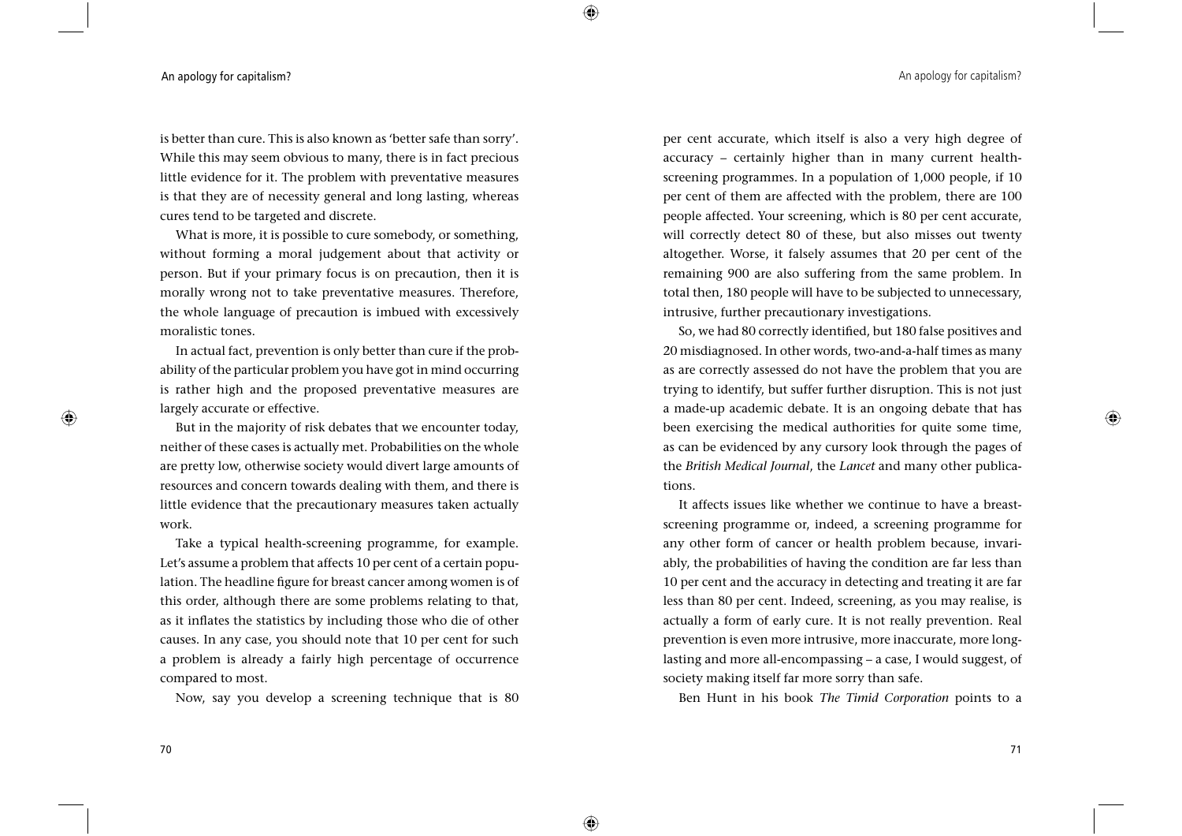## An apology for capitalism? An apology for capitalism?

is better than cure. This is also known as 'better safe than sorry'. While this may seem obvious to many, there is in fact precious little evidence for it. The problem with preventative measures is that they are of necessity general and long lasting, whereas cures tend to be targeted and discrete.

 $\bigoplus$ 

⊕

What is more, it is possible to cure somebody, or something, without forming a moral judgement about that activity or person. But if your primary focus is on precaution, then it is morally wrong not to take preventative measures. Therefore, the whole language of precaution is imbued with excessively moralistic tones.

In actual fact, prevention is only better than cure if the probability of the particular problem you have got in mind occurring is rather high and the proposed preventative measures are largely accurate or effective.

But in the majority of risk debates that we encounter today, neither of these cases is actually met. Probabilities on the whole are pretty low, otherwise society would divert large amounts of resources and concern towards dealing with them, and there is little evidence that the precautionary measures taken actually work.

Take a typical health-screening programme, for example. Let's assume a problem that affects 10 per cent of a certain population. The headline figure for breast cancer among women is of this order, although there are some problems relating to that, as it inflates the statistics by including those who die of other causes. In any case, you should note that 10 per cent for such a problem is already a fairly high percentage of occurrence compared to most.

Now, say you develop a screening technique that is 80

per cent accurate, which itself is also a very high degree of accuracy – certainly higher than in many current healthscreening programmes. In a population of 1,000 people, if 10 per cent of them are affected with the problem, there are 100 people affected. Your screening, which is 80 per cent accurate, will correctly detect 80 of these, but also misses out twenty altogether. Worse, it falsely assumes that 20 per cent of the remaining 900 are also suffering from the same problem. In total then, 180 people will have to be subjected to unnecessary, intrusive, further precautionary investigations.

So, we had 80 correctly identified, but 180 false positives and 20 misdiagnosed. In other words, two-and-a-half times as many as are correctly assessed do not have the problem that you are trying to identify, but suffer further disruption. This is not just a made-up academic debate. It is an ongoing debate that has been exercising the medical authorities for quite some time, as can be evidenced by any cursory look through the pages of the *British Medical Journal*, the *Lancet* and many other publications.

It affects issues like whether we continue to have a breastscreening programme or, indeed, a screening programme for any other form of cancer or health problem because, invariably, the probabilities of having the condition are far less than 10 per cent and the accuracy in detecting and treating it are far less than 80 per cent. Indeed, screening, as you may realise, is actually a form of early cure. It is not really prevention. Real prevention is even more intrusive, more inaccurate, more longlasting and more all-encompassing – a case, I would suggest, of society making itself far more sorry than safe.

Ben Hunt in his book *The Timid Corporation* points to a

 $\bigoplus$ 

70

◈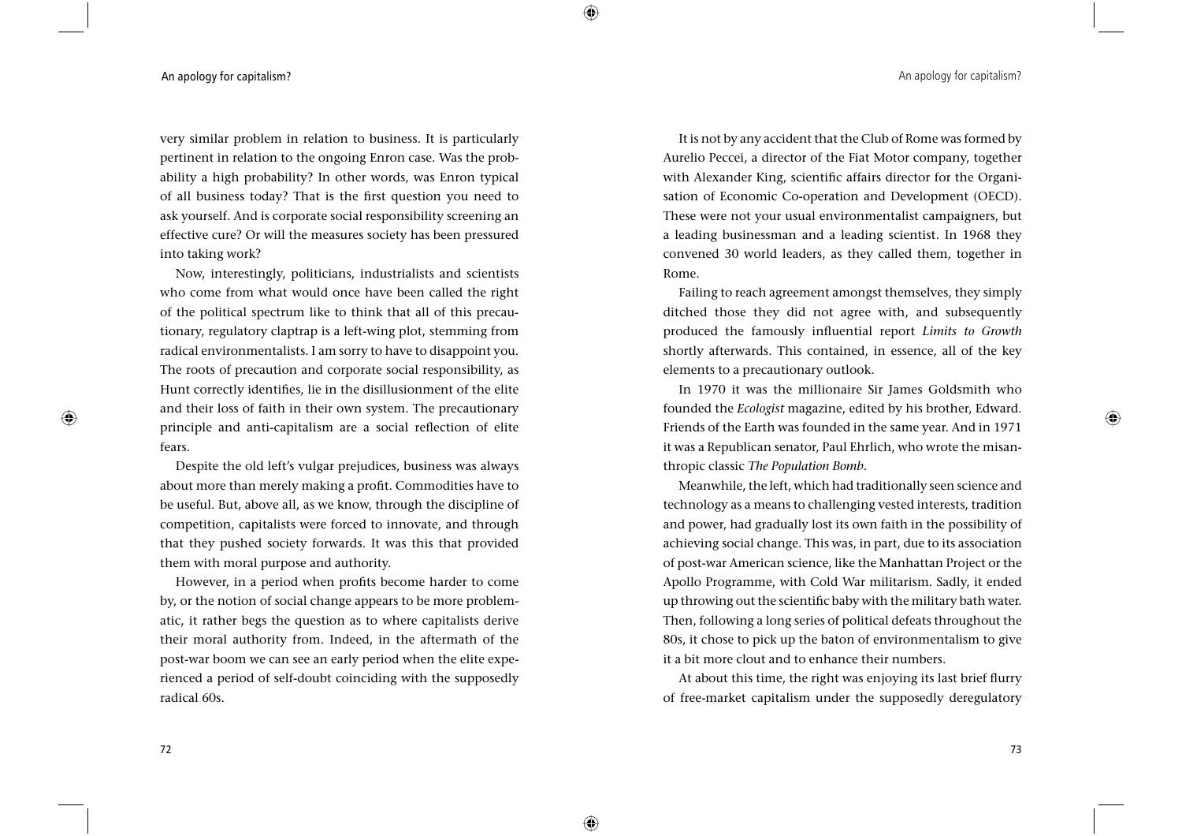## An apology for capitalism? An apology for capitalism?

very similar problem in relation to business. It is particularly pertinent in relation to the ongoing Enron case. Was the probability a high probability? In other words, was Enron typical of all business today? That is the first question you need to ask yourself. And is corporate social responsibility screening an effective cure? Or will the measures society has been pressured into taking work?

 $\bigoplus$ 

⊕

Now, interestingly, politicians, industrialists and scientists who come from what would once have been called the right of the political spectrum like to think that all of this precautionary, regulatory claptrap is a left-wing plot, stemming from radical environmentalists. I am sorry to have to disappoint you. The roots of precaution and corporate social responsibility, as Hunt correctly identifies, lie in the disillusionment of the elite and their loss of faith in their own system. The precautionary principle and anti-capitalism are a social reflection of elite fears.

Despite the old left's vulgar prejudices, business was always about more than merely making a profit. Commodities have to be useful. But, above all, as we know, through the discipline of competition, capitalists were forced to innovate, and through that they pushed society forwards. It was this that provided them with moral purpose and authority.

However, in a period when profits become harder to come by, or the notion of social change appears to be more problematic, it rather begs the question as to where capitalists derive their moral authority from. Indeed, in the aftermath of the post-war boom we can see an early period when the elite experienced a period of self-doubt coinciding with the supposedly radical 60s.

It is not by any accident that the Club of Rome was formed by Aurelio Peccei, a director of the Fiat Motor company, together with Alexander King, scientific affairs director for the Organisation of Economic Co-operation and Development (OECD). These were not your usual environmentalist campaigners, but a leading businessman and a leading scientist. In 1968 they convened 30 world leaders, as they called them, together in Rome.

Failing to reach agreement amongst themselves, they simply ditched those they did not agree with, and subsequently produced the famously influential report *Limits to Growth* shortly afterwards. This contained, in essence, all of the key elements to a precautionary outlook.

In 1970 it was the millionaire Sir James Goldsmith who founded the *Ecologist* magazine, edited by his brother, Edward. Friends of the Earth was founded in the same year. And in 1971 it was a Republican senator, Paul Ehrlich, who wrote the misanthropic classic *The Population Bomb*.

Meanwhile, the left, which had traditionally seen science and technology as a means to challenging vested interests, tradition and power, had gradually lost its own faith in the possibility of achieving social change. This was, in part, due to its association of post-war American science, like the Manhattan Project or the Apollo Programme, with Cold War militarism. Sadly, it ended up throwing out the scientific baby with the military bath water. Then, following a long series of political defeats throughout the 80s, it chose to pick up the baton of environmentalism to give it a bit more clout and to enhance their numbers.

At about this time, the right was enjoying its last brief flurry of free-market capitalism under the supposedly deregulatory

 $\bigoplus$ 

⊕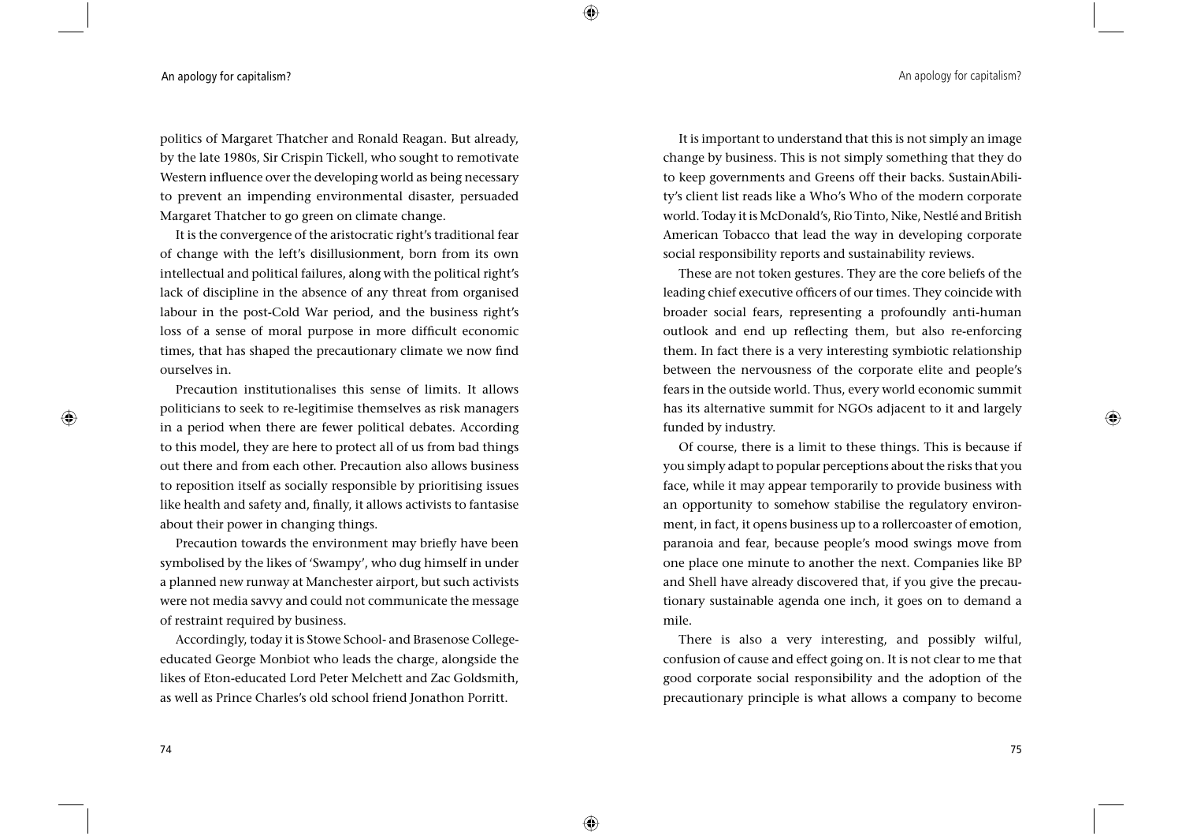## An apology for capitalism? An apology for capitalism?

politics of Margaret Thatcher and Ronald Reagan. But already, by the late 1980s, Sir Crispin Tickell, who sought to remotivate Western influence over the developing world as being necessary to prevent an impending environmental disaster, persuaded Margaret Thatcher to go green on climate change.

 $\bigoplus$ 

⊕

It is the convergence of the aristocratic right's traditional fear of change with the left's disillusionment, born from its own intellectual and political failures, along with the political right's lack of discipline in the absence of any threat from organised labour in the post-Cold War period, and the business right's loss of a sense of moral purpose in more difficult economic times, that has shaped the precautionary climate we now find ourselves in.

Precaution institutionalises this sense of limits. It allows politicians to seek to re-legitimise themselves as risk managers in a period when there are fewer political debates. According to this model, they are here to protect all of us from bad things out there and from each other. Precaution also allows business to reposition itself as socially responsible by prioritising issues like health and safety and, finally, it allows activists to fantasise about their power in changing things.

Precaution towards the environment may briefly have been symbolised by the likes of 'Swampy', who dug himself in under a planned new runway at Manchester airport, but such activists were not media savvy and could not communicate the message of restraint required by business.

Accordingly, today it is Stowe School- and Brasenose Collegeeducated George Monbiot who leads the charge, alongside the likes of Eton-educated Lord Peter Melchett and Zac Goldsmith, as well as Prince Charles's old school friend Jonathon Porritt.

It is important to understand that this is not simply an image change by business. This is not simply something that they do to keep governments and Greens off their backs. SustainAbility's client list reads like a Who's Who of the modern corporate world. Today it is McDonald's, Rio Tinto, Nike, Nestlé and British American Tobacco that lead the way in developing corporate social responsibility reports and sustainability reviews.

These are not token gestures. They are the core beliefs of the leading chief executive officers of our times. They coincide with broader social fears, representing a profoundly anti-human outlook and end up reflecting them, but also re-enforcing them. In fact there is a very interesting symbiotic relationship between the nervousness of the corporate elite and people's fears in the outside world. Thus, every world economic summit has its alternative summit for NGOs adjacent to it and largely funded by industry.

Of course, there is a limit to these things. This is because if you simply adapt to popular perceptions about the risks that you face, while it may appear temporarily to provide business with an opportunity to somehow stabilise the regulatory environment, in fact, it opens business up to a rollercoaster of emotion, paranoia and fear, because people's mood swings move from one place one minute to another the next. Companies like BP and Shell have already discovered that, if you give the precautionary sustainable agenda one inch, it goes on to demand a mile.

There is also a very interesting, and possibly wilful, confusion of cause and effect going on. It is not clear to me that good corporate social responsibility and the adoption of the precautionary principle is what allows a company to become

 $\bigoplus$ 

⊕